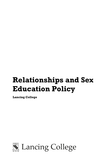# **Relationships and Sex Education Policy**

**Lancing College** 



**Lancing College**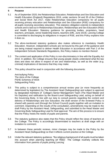# **5 Purpose**

- 5.1 As of September 2020, the Relationships Education, Relationships and Sex Education and Health Education (England) Regulations 2019, under sections 34 and 35 of the Children and Social Work Act 2017, make Relationships Education compulsory for all pupils receiving primary education and Relationships and Sex Education (RSE) compulsory for all pupils receiving secondary education. This statutory obligation extends to independent schools and is laid out in Relationships Education, Relationships and Sex Education (RSE) and Health Education: Statutory guidance for governing bodies, proprietors, head teachers, principals, senior leadership teams, teachers (DfE, June 2019). Lancing College is committed to discharging its obligations in respect of RSE, and this Policy explains how it does so.
- 5.2 The afore-mentioned statutory guidance also makes reference to mandatory Health Education. However, independent schools are not bound by this part of the guidance and are being instead required to deliver Health Education in accordance with Part 2 of the Independent Schools Standards Regulations, this Policy makes no mention thereof.
- 5.3 The content and application of this Policy is non-discriminatory in line with the Equality Act 2010. In addition, the College ensures that young people clearly understand what the law does and does not allow in respect of sex and relationships, as well as the wider (e.g. criminal) implications of decisions that they may make.
- 5.4 This policy should be read in conjunction with the following documents:

Anti-bullying Policy The Aims of the College PSHE Schemes of Work Safeguarding Policy

- 5.5 This policy is subject to a comprehensive annual review year (or more frequently as determined by legislation) by The Assistant Head (Safeguarding) and subject to approval by designated members of College's Senior Management Team (The Head Master and his Deputies) and ratification by the Board-Level Safeguarding Lead, acting on behalf of the Governing Body. In line with our duty to consult parents regarding the content and delivery of Relationships and Sex Education, the draft version of the reviewed Policy is shared with parents and (through the School Council) pupils together with an invitation to comment. Depending on the results of the consultation, amendments may be made to the draft Policy by the Assistant Head, Safeguarding, and submitted to the Head Master and Governing Body Safeguarding Lead for final approval. The aim of this process is to ensure that the Policy meets the needs of pupils and parents.
- 5.6 The statutory guidance also states that this Policy should reflect the views of teachers at the College. The Policy is accordingly disseminated to teachers at draft stage with an invitation to comment.
- 5.7 In between these periodic reviews, minor changes may be made to the Policy by the Assistant Head (Safeguarding) so that it reflects current practice at the College.
- 5.8 Under the relevant statutory guidance, "the religious background of all pupils must be taken into account when planning teaching [of RSE]". The College routinely collects this information from parents of pupils joining Lancing.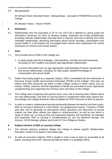#### 5.9 Key personnel

Mr Richard Dolan (Assistant Head - Safeguarding) - oversight of PSHE/RSE across the College

Mr Alasdair Tobias – Head of PSHE

## **6 Definitions**

6.1 Relationships and Sex Education in 3F to UVI (Y9-Y13) is defined as: giving pupils the information necessary for them to develop healthy, respectful and loving relationships (including intimate relationships) that help them to flourish, and how to identify and resist unhealthy relationships; delivering information about human sexuality, contraception and sexual health in a fact-based and non-judgemental manner that emphasises the critical importance of consent and mutual respect.

# **7 Aims**

- 7.1 The principal aims of RSE in the College are:
	- 1. to equip pupils with the knowledge, understanding, criticality and self-awareness necessary to form healthy and positive age-appropriate relationships;
	- 2. to ensure that pupils have an age-appropriate understanding of human reproduction and sexual relationships, including, for older pupils, detailed knowledge of contraception and sexual health.
- 7.2 Rather than being taught as a separate subject, RSE is embedded into the framework of Personal, Social, Health and Economic Education (PSHE) at the College. That said, we believe that RSE should be set within a wider College context in which values such as respect, fidelity, tolerance and the importance of family are promoted at every opportunity complementing and supporting the Christian aims and ethos of the College.
- 7.3 The College also recognises that parents have a key role in teaching their children about sex and relationships, and RSE at Lancing seeks to complement rather than replace this. Accordingly, the College therefore makes available its PSHE Schemes of Work to parents.
- 7.4 In order to create a collaborative learning partnership between the teacher and their pupils, RSE at Lancing is delivered in a fact-based, non-judgemental manner. Teachers of RSE also take care to generate an atmosphere where questions and discussion of sexual matters can take place without any stigma or embarrassment, as well as one where a range of views can, so long as they are expressed maturely and sensitively, be tolerated and respected. RSE at Lancing is complemented by- but not delivered through- the Science, GCSE Biology syllabus and III and IV Form Religious Studies.

# **8 Subject Content of RSE at Lancing College**

- 8.1 The relevant statutory guidance obliges the College to deliver specific Relationships Education content to its pupils of secondary age.
- 8.2 As with all curriculum subjects, RSE is taught in such a way so that it is accessible to all pupils, including those with special educational needs or a disability (SEN).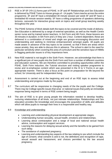- 8.3 RSE in 3F-5F (Y9-11) forms part of PSHE. In 3F and 4F Relationships and Sex Education is delivered by PSHE Tutors to House groups of ~14 pupils.Tutors teache across the entire programme. 3F and 4F have a timetabled 30 minute session per week 5F and 6F have a timetabled 60 minute session weekly. 5F have a rolling programme of speakers delivering lectures, carousels for interactive group work on topics and small group teaching weekly throughout the year.
- 8.4 The PSHE Scheme of Work details both the topics to be covered and the mode of delivery. Sex Education is delivered by a range of external specialists; as well as the Health Centre senior nurse and by trained senior teachers. In 3rd Form and 4th Form, these lessons are 30 minutes in duration; in 5th Form and LVI they are 1 hour. Content-dependent, these are delivered in a combination of mixed and single sex groups encouraging discussion and understanding and seeking to minimise embarrassment amongst pupils. All pupils are made aware in advance of the key topics to be covered, so that if there are areas which cause anxiety, they are able to discuss this in advance. The school is alert to the need for particular sensitivity when covering this area of curriculum and the sensitive input of HMMs in flagging particular issues is of key importance here.
- 8.5 New RSE material is not taught in the Sixth Form. However, we acknowledge that there is a significant join of new pupils into the Sixth Form and from a number of different countries and education systems, We are therefore committed to providing opportunities within the PSHE, Sixth Form induction, the Tutorial structure and visiting speaker programme to revise and re-emphasise content which was presented in the III to V Forms in an ageappropriate manner. There is also a focus at this point on preparation for life beyond the school, for University and for independent living.
- 8.6 Assessment is carried out at the beginning and end of an RSE topic to assess initial understanding and progress made by the pupils.
- 8.7 The curriculum will be responsive to changing needs of the the pupils and the College. There may be College specific issues that arise or national issues that justify an immediate response being required in terms of RSE content being taught.
- 8.8 The aim of RSE is to give young people the information needed to develop healthy, nurturing relationships of all kinds, not just intimate relationships. Relationships and Sex education provides the knowledge and encourages the acquisition of skills and attitudes which will allow pupils to manage their lives in a responsible and healthy way.

### 8.9 Knowledge and understanding

- Learning and understanding physical development at appropriate stages.
- Understanding human sexuality, sexual health, emotions and relationships.
- Learning about contraception and a range of local and national sexual health advice, contraception and support services.
- Learning the reasons for delaying sexual activity and the benefits to be gained from such delay.
- The avoidance of unplanned pregnancy.
- Learning and understanding key aspects of the law relating to sex which include the age of consent, what consent is and is not, the definitions and recognition of rape, sexual assault and harassment, and choices permitted by the law around pregnancy.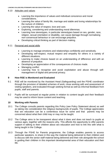#### 8.10 Attitudes and values

- Learning the importance of values and individual conscience and moral considerations.
- Learning the value of family life, marriage and stable and loving relationships for the nurture of children.
- Learning the value of respect, love and care.
- Exploring, considering and understanding moral dilemmas.
- Learning how stereotypes, in particular stereotypes based on sex, gender, race, religion, sexual orientation or disability, can cause damage through normalising non-consensual behaviour or can encourage prejudice.
- Developing critical thinking as part of decision making.

# 8.11 Personal and social skills

- Learning to manage emotions and relationships confidently and sensitively.
- Developing self-respect, mutual respect and empathy for others in a variety of different situations.
- Learning to make choices based on an understanding of difference and with an absence of prejudice.
- Developing an appreciation of the consequences of choices made.
- Managing conflict
- Learning how to recognise and avoid exploitation and abuse through selfmanagement of digital and personal privacy.

# **9 How RSE is Monitored and Evaluated**

- 9.1 RSE will be monitored by the Assistant Head (Safeguarding) and the PSHE coordinator through the provision of detailed schemes of work; close working with and assessment of visiting speakers, and evaluated through seeking formal as well as informal feedback from pupils, staff and parents.
- 9.2 Pupils will be surveyed at regular points in relation to content taught and their feedback may be used to inform future content and teaching.

### **10 Working with Parents**

- 10.1 The College consults parents regarding this Policy (see Policy Statement above) as well as taking into consideration the religious backgrounds of pupils. The College appreciates that sex education can be a contentious issue for some and that parents may be concerned about what their child may or may not be taught.
- 10.2 The College aims to be transparent about what it does and does not teach to pupils at various ages, together with the reasons why. This affords the opportunity to offer parents support in talking to their children about sex education and how to link this with what is being taught in the College.
- 10.3 Through the PSHE for Parents programme, the College enables parents to access particular speakers, to share in this way the material being delivered to their children and to discuss with the senior staff material being delivered and their role alongside the school in guiding their children in this important developmental area of their education and their life.